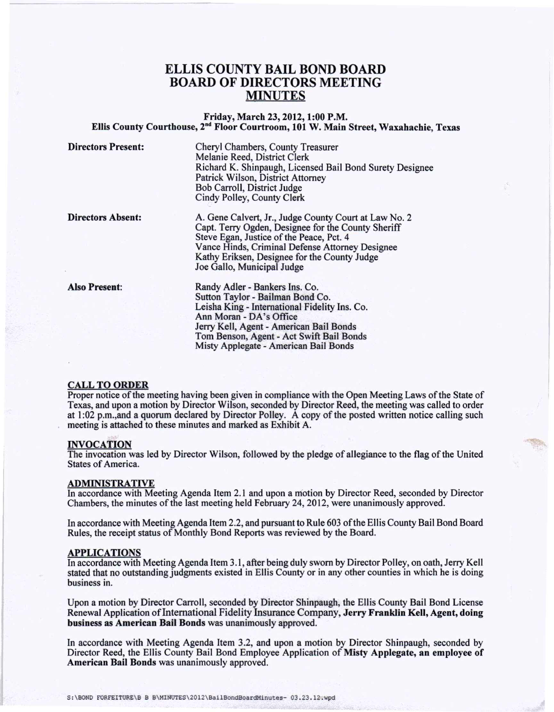# ELLIS COUNTY BAIL BOND BOARD BOARD OF DIRECTORS MEETING MINUTES

## Friday, March 23, 2012,1:00 P.M. Ellis County Courthouse, 2<sup>nd</sup> Floor Courtroom, 101 W. Main Street, Waxahachie, Texa

--------

Directors Present: Cheryl Chambers, County Treasurer Melanie Reed, District Clerk Richard K. Shinpaugh, Licensed Bail Bond Surety Designee Patrick Wilson, District Attorney Bob Carroll, District Judge Cindy Polley, County Clerk

Directors Absent:

A. Gene Calvert, Jr., Judge County Court at Law No.2 Capt. Terry Ogden, Designee for the County Sheriff Steve Egan, Justice of the Peace, Pet. 4 Vance Hinds, Criminal Defense Attorney Designee Kathy Eriksen, Designee for the County Judge Joe Gallo, Municipal Judge

Also Present:

Randy Adler - Bankers Ins. Co. Sutton Taylor - Bailman Bond Co. Leisha King - International Fidelity Ins. Co. Ann Moran - DA's Office Jerry Kell, Agent - American Bail Bonds Tom Benson, Agent - Act Swift Bail Bonds Misty Applegate - American Bail Bonds

#### CALL TO ORDER

Proper notice of the meeting having been given in compliance with the Open Meeting Laws of the State of Texas, and upon a motion by Director Wilson, seconded by Director Reed, the meeting was called to order at 1:02 p.m.,and a quorum declared by Director Polley. A copy of the posted written notice calling such meeting is attached to these minutes and marked as Exhibit A.

#### INVOCATION

The invocation was led by Director Wilson, followed by the pledge of allegiance to the flag of the United States of America.

### ADMINISTRATIVE

In accordance with Meeting Agenda Item 2.1 and upon a motion by Director Reed, seconded by Director Chambers, the minutes of the last meeting held February 24, 2012, were unanimously approved.

In accordance with Meeting Agenda Item 2.2, and pursuant to Rule 603 of the Ellis County Bail Bond Board Rules, the receipt status of Monthly Bond Reports was reviewed by the Board.

#### APPLICATIONS

In accordance with Meeting Agenda Item 3.1, after being duly sworn by Director Polley, on oath, Jerry Kell stated that no outstanding judgments existed in E1lis County or in any other counties in which he is doing business in.

Upon a motion by Director Carroll, seconded by Director Shinpaugh, the Ellis County Bail Bond License Renewal Application of International Fidelity Insurance Company, Jerry Franklin Kell, Agent, doing business as American Bail Bonds was unanimously approved.

In accordance with Meeting Agenda Item 3.2, and upon a motion by Director Shinpaugh, seconded by Director Reed, the Ellis County Bail Bond Employee Application of Misty Applegate, an employee of American Bail Bonds was unanimously approved.

S:\BOND FORFEITURE\B B B\MINUTES\2012\BailBondBoardMinutes- 03.23.12.wpd